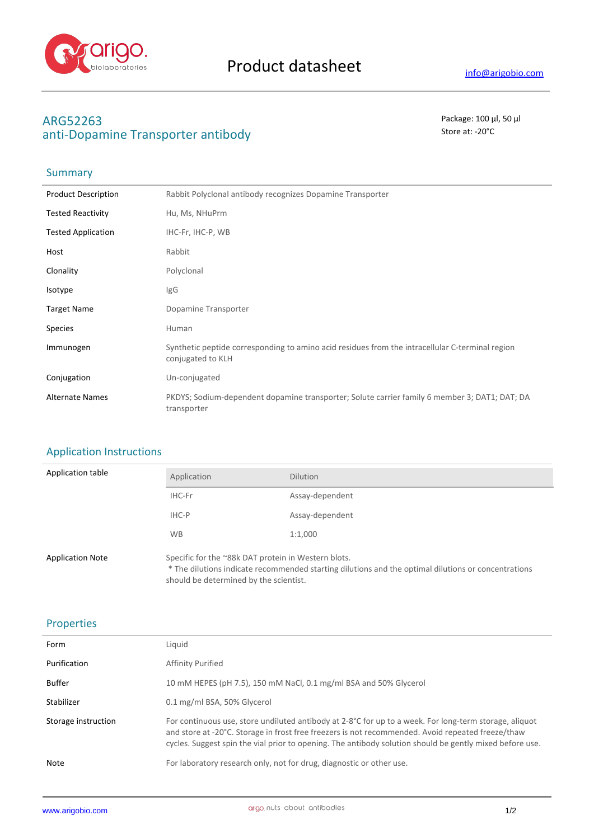

# **ARG52263** Package: 100 μl, 50 μl anti-Dopamine Transporter antibody and state at the state at  $\sim$  20°C

## Summary

| <b>Product Description</b> | Rabbit Polyclonal antibody recognizes Dopamine Transporter                                                           |
|----------------------------|----------------------------------------------------------------------------------------------------------------------|
| <b>Tested Reactivity</b>   | Hu, Ms, NHuPrm                                                                                                       |
| <b>Tested Application</b>  | IHC-Fr, IHC-P, WB                                                                                                    |
| Host                       | Rabbit                                                                                                               |
| Clonality                  | Polyclonal                                                                                                           |
| Isotype                    | <b>IgG</b>                                                                                                           |
| <b>Target Name</b>         | Dopamine Transporter                                                                                                 |
| <b>Species</b>             | Human                                                                                                                |
| Immunogen                  | Synthetic peptide corresponding to amino acid residues from the intracellular C-terminal region<br>conjugated to KLH |
| Conjugation                | Un-conjugated                                                                                                        |
| <b>Alternate Names</b>     | PKDYS; Sodium-dependent dopamine transporter; Solute carrier family 6 member 3; DAT1; DAT; DA<br>transporter         |

#### Application Instructions

| Application table       | Application                                         | <b>Dilution</b>                                                                                     |
|-------------------------|-----------------------------------------------------|-----------------------------------------------------------------------------------------------------|
|                         | IHC-Fr                                              | Assay-dependent                                                                                     |
|                         | IHC-P                                               | Assay-dependent                                                                                     |
|                         | <b>WB</b>                                           | 1:1,000                                                                                             |
| <b>Application Note</b> | Specific for the ~88k DAT protein in Western blots. | * The dilutions indicate recommended starting dilutions and the optimal dilutions or concentrations |

should be determined by the scientist.

#### Properties

| Form                | Liquid                                                                                                                                                                                                                                                                                                                  |
|---------------------|-------------------------------------------------------------------------------------------------------------------------------------------------------------------------------------------------------------------------------------------------------------------------------------------------------------------------|
| Purification        | Affinity Purified                                                                                                                                                                                                                                                                                                       |
| <b>Buffer</b>       | 10 mM HEPES (pH 7.5), 150 mM NaCl, 0.1 mg/ml BSA and 50% Glycerol                                                                                                                                                                                                                                                       |
| Stabilizer          | 0.1 mg/ml BSA, 50% Glycerol                                                                                                                                                                                                                                                                                             |
| Storage instruction | For continuous use, store undiluted antibody at 2-8°C for up to a week. For long-term storage, aliquot<br>and store at -20°C. Storage in frost free freezers is not recommended. Avoid repeated freeze/thaw<br>cycles. Suggest spin the vial prior to opening. The antibody solution should be gently mixed before use. |
| Note                | For laboratory research only, not for drug, diagnostic or other use.                                                                                                                                                                                                                                                    |